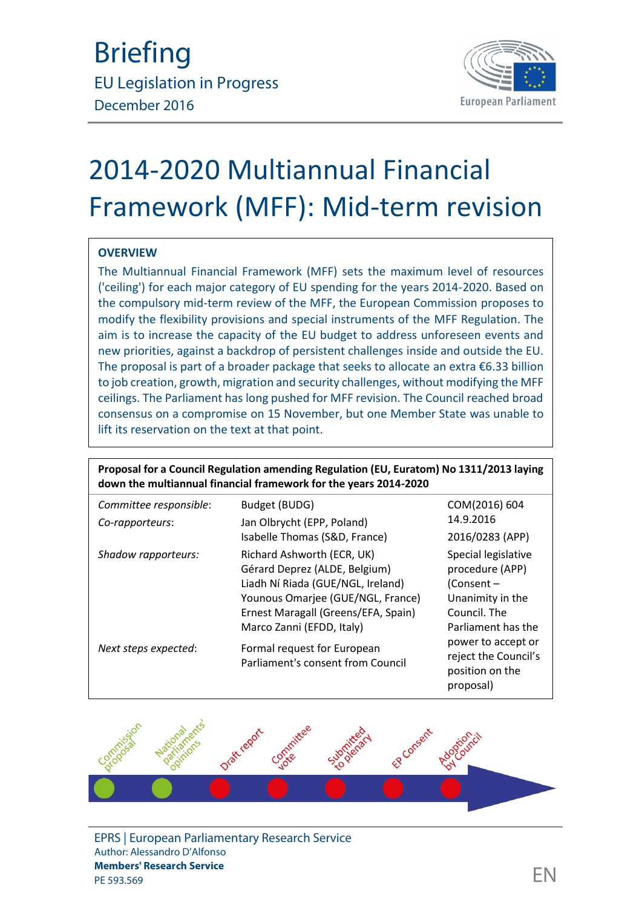

# 2014-2020 Multiannual Financial Framework (MFF): Mid-term revision

#### **OVERVIEW**

The Multiannual Financial Framework (MFF) sets the maximum level of resources ('ceiling') for each major category of EU spending for the years 2014-2020. Based on the compulsory mid-term review of the MFF, the European Commission proposes to modify the flexibility provisions and special instruments of the MFF Regulation. The aim is to increase the capacity of the EU budget to address unforeseen events and new priorities, against a backdrop of persistent challenges inside and outside the EU. The proposal is part of a broader package that seeks to allocate an extra  $\epsilon$ 6.33 billion to job creation, growth, migration and security challenges, without modifying the MFF ceilings. The Parliament has long pushed for MFF revision. The Council reached broad consensus on a compromise on 15 November, but one Member State was unable to lift its reservation on the text at that point.

| Proposal for a Council Regulation amending Regulation (EU, Euratom) No 1311/2013 laying<br>down the multiannual financial framework for the years 2014-2020 |                                                                                                                                                                                                           |                                                                                                                |  |
|-------------------------------------------------------------------------------------------------------------------------------------------------------------|-----------------------------------------------------------------------------------------------------------------------------------------------------------------------------------------------------------|----------------------------------------------------------------------------------------------------------------|--|
| Committee responsible:                                                                                                                                      | Budget (BUDG)                                                                                                                                                                                             | COM(2016) 604                                                                                                  |  |
| Co-rapporteurs:                                                                                                                                             | Jan Olbrycht (EPP, Poland)                                                                                                                                                                                | 14.9.2016                                                                                                      |  |
|                                                                                                                                                             | Isabelle Thomas (S&D, France)                                                                                                                                                                             | 2016/0283 (APP)                                                                                                |  |
| Shadow rapporteurs:                                                                                                                                         | Richard Ashworth (ECR, UK)<br>Gérard Deprez (ALDE, Belgium)<br>Liadh Ní Riada (GUE/NGL, Ireland)<br>Younous Omarjee (GUE/NGL, France)<br>Ernest Maragall (Greens/EFA, Spain)<br>Marco Zanni (EFDD, Italy) | Special legislative<br>procedure (APP)<br>(Consent -<br>Unanimity in the<br>Council. The<br>Parliament has the |  |
| Next steps expected:                                                                                                                                        | Formal request for European<br>Parliament's consent from Council                                                                                                                                          | power to accept or<br>reject the Council's<br>position on the<br>proposal)                                     |  |



EPRS | European Parliamentary Research Service Author: Alessandro D'Alfonso **Members' Research Service** members Research Service<br>PE 593.569  $\mathsf{EN}$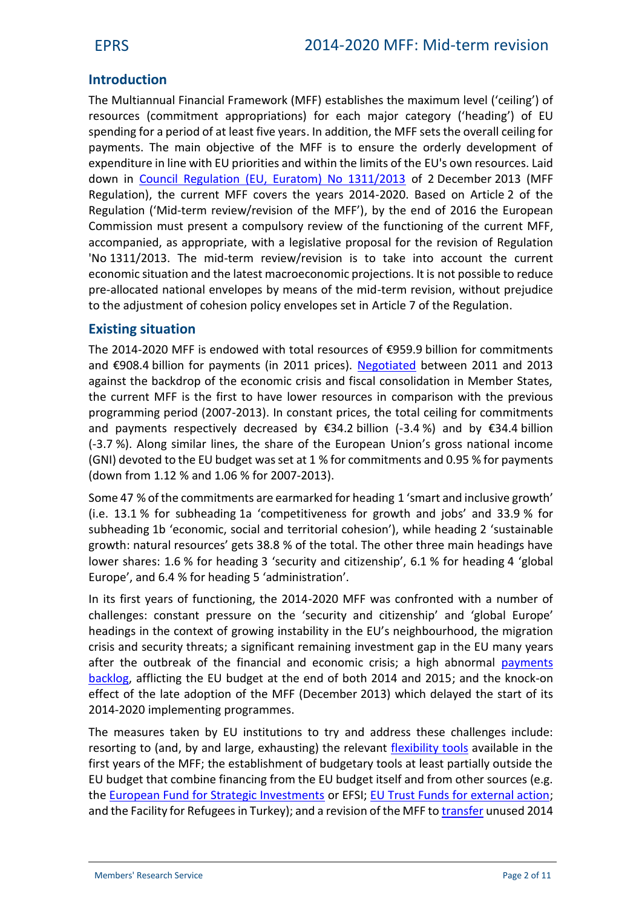# **Introduction**

The Multiannual Financial Framework (MFF) establishes the maximum level ('ceiling') of resources (commitment appropriations) for each major category ('heading') of EU spending for a period of at least five years. In addition, the MFF sets the overall ceiling for payments. The main objective of the MFF is to ensure the orderly development of expenditure in line with EU priorities and within the limits of the EU's own resources. Laid down in [Council Regulation \(EU, Euratom\) No 1311/2013](http://eur-lex.europa.eu/legal-content/EN/TXT/?uri=uriserv:OJ.L_.2013.347.01.0884.01.ENG) of 2 December 2013 (MFF Regulation), the current MFF covers the years 2014-2020. Based on Article 2 of the Regulation ('Mid-term review/revision of the MFF'), by the end of 2016 the European Commission must present a compulsory review of the functioning of the current MFF, accompanied, as appropriate, with a legislative proposal for the revision of Regulation 'No 1311/2013. The mid-term review/revision is to take into account the current economic situation and the latest macroeconomic projections. It is not possible to reduce pre-allocated national envelopes by means of the mid-term revision, without prejudice to the adjustment of cohesion policy envelopes set in Article 7 of the Regulation.

## **Existing situation**

The 2014-2020 MFF is endowed with total resources of €959.9 billion for commitments and €908.4 billion for payments (in 2011 prices). [Negotiated](http://www.europarl.europa.eu/RegData/bibliotheque/briefing/2013/130627/LDM_BRI(2013)130627_REV1_EN.pdf) between 2011 and 2013 against the backdrop of the economic crisis and fiscal consolidation in Member States, the current MFF is the first to have lower resources in comparison with the previous programming period (2007-2013). In constant prices, the total ceiling for commitments and payments respectively decreased by  $\epsilon$ 34.2 billion (-3.4%) and by  $\epsilon$ 34.4 billion (-3.7 %). Along similar lines, the share of the European Union's gross national income (GNI) devoted to the EU budget was set at 1 % for commitments and 0.95 % for payments (down from 1.12 % and 1.06 % for 2007-2013).

Some 47 % of the commitments are earmarked for heading 1 'smart and inclusive growth' (i.e. 13.1 % for subheading 1a 'competitiveness for growth and jobs' and 33.9 % for subheading 1b 'economic, social and territorial cohesion'), while heading 2 'sustainable growth: natural resources' gets 38.8 % of the total. The other three main headings have lower shares: 1.6 % for heading 3 'security and citizenship', 6.1 % for heading 4 'global Europe', and 6.4 % for heading 5 'administration'.

In its first years of functioning, the 2014-2020 MFF was confronted with a number of challenges: constant pressure on the 'security and citizenship' and 'global Europe' headings in the context of growing instability in the EU's neighbourhood, the migration crisis and security threats; a significant remaining investment gap in the EU many years after the outbreak of the financial and economic crisis; a high abnormal [payments](http://www.europarl.europa.eu/RegData/etudes/IDAN/2015/571322/EPRS_IDA(2015)571322_EN.pdf) [backlog,](http://www.europarl.europa.eu/RegData/etudes/IDAN/2015/571322/EPRS_IDA(2015)571322_EN.pdf) afflicting the EU budget at the end of both 2014 and 2015; and the knock-on effect of the late adoption of the MFF (December 2013) which delayed the start of its 2014-2020 implementing programmes.

The measures taken by EU institutions to try and address these challenges include: resorting to (and, by and large, exhausting) the relevant [flexibility tools](http://www.europarl.europa.eu/RegData/etudes/BRIE/2016/573952/EPRS_BRI(2016)573952_EN.pdf) available in the first years of the MFF; the establishment of budgetary tools at least partially outside the EU budget that combine financing from the EU budget itself and from other sources (e.g. the [European Fund for Strategic Investments](http://www.europarl.europa.eu/RegData/etudes/ATAG/2015/559510/EPRS_ATA(2015)559510_EN.pdf) or EFSI; [EU Trust Funds for external action;](http://www.europarl.europa.eu/RegData/etudes/BRIE/2015/572797/EPRS_BRI(2015)572797_EN.pdf) and the Facility for Refugees in Turkey); and a revision of the MFF to [transfer](http://www.europarl.europa.eu/RegData/etudes/BRIE/2015/565886/EPRS_BRI(2015)565886_EN.pdf) unused 2014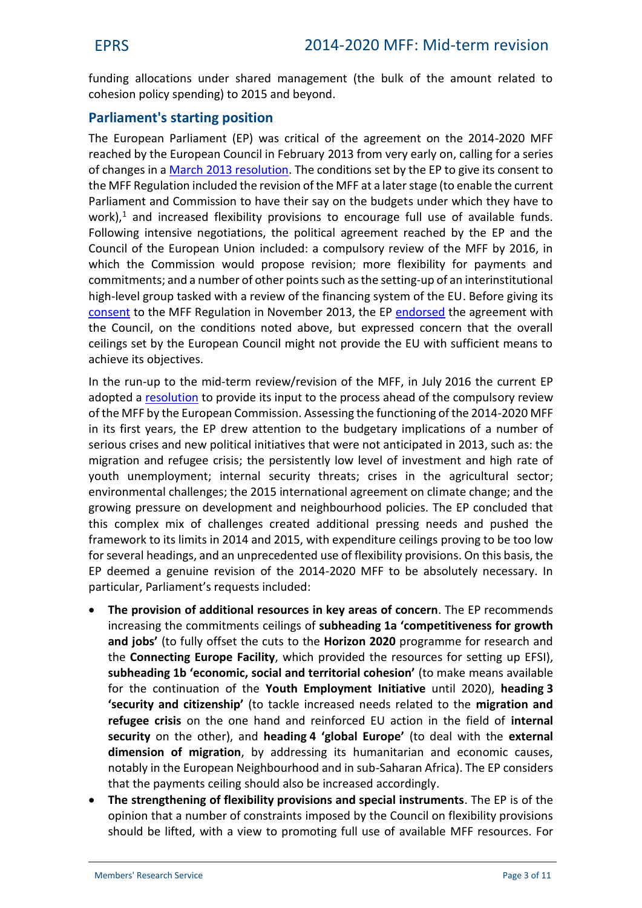funding allocations under shared management (the bulk of the amount related to cohesion policy spending) to 2015 and beyond.

# **Parliament's starting position**

The European Parliament (EP) was critical of the agreement on the 2014-2020 MFF reached by the European Council in February 2013 from very early on, calling for a series of changes in a March 2013 [resolution.](http://www.europarl.europa.eu/sides/getDoc.do?type=TA&language=EN&reference=P7-TA-2013-78) The conditions set by the EP to give its consent to the MFF Regulation included the revision of the MFF at a later stage (to enable the current Parliament and Commission to have their say on the budgets under which they have to work), $<sup>1</sup>$  and increased flexibility provisions to encourage full use of available funds.</sup> Following intensive negotiations, the political agreement reached by the EP and the Council of the European Union included: a compulsory review of the MFF by 2016, in which the Commission would propose revision; more flexibility for payments and commitments; and a number of other pointssuch as the setting-up of an interinstitutional high-level group tasked with a review of the financing system of the EU. Before giving its [consent](http://www.europarl.europa.eu/sides/getDoc.do?type=TA&language=EN&reference=P7-TA-2013-0455) to the MFF Regulation in November 2013, the EP [endorsed](http://www.europarl.europa.eu/sides/getDoc.do?type=TA&language=EN&reference=P7-TA-2013-304) the agreement with the Council, on the conditions noted above, but expressed concern that the overall ceilings set by the European Council might not provide the EU with sufficient means to achieve its objectives.

In the run-up to the mid-term review/revision of the MFF, in July 2016 the current EP adopted a [resolution](http://www.europarl.europa.eu/sides/getDoc.do?type=TA&language=EN&reference=P8-TA-2016-0309) to provide its input to the process ahead of the compulsory review of the MFF by the European Commission. Assessing the functioning of the 2014-2020 MFF in its first years, the EP drew attention to the budgetary implications of a number of serious crises and new political initiatives that were not anticipated in 2013, such as: the migration and refugee crisis; the persistently low level of investment and high rate of youth unemployment; internal security threats; crises in the agricultural sector; environmental challenges; the 2015 international agreement on climate change; and the growing pressure on development and neighbourhood policies. The EP concluded that this complex mix of challenges created additional pressing needs and pushed the framework to its limits in 2014 and 2015, with expenditure ceilings proving to be too low for several headings, and an unprecedented use of flexibility provisions. On this basis, the EP deemed a genuine revision of the 2014-2020 MFF to be absolutely necessary. In particular, Parliament's requests included:

- **The provision of additional resources in key areas of concern**. The EP recommends increasing the commitments ceilings of **subheading 1a 'competitiveness for growth and jobs'** (to fully offset the cuts to the **Horizon 2020** programme for research and the **Connecting Europe Facility**, which provided the resources for setting up EFSI), **subheading 1b 'economic, social and territorial cohesion'** (to make means available for the continuation of the **Youth Employment Initiative** until 2020), **heading 3 'security and citizenship'** (to tackle increased needs related to the **migration and refugee crisis** on the one hand and reinforced EU action in the field of **internal security** on the other), and **heading 4 'global Europe'** (to deal with the **external dimension of migration**, by addressing its humanitarian and economic causes, notably in the European Neighbourhood and in sub-Saharan Africa). The EP considers that the payments ceiling should also be increased accordingly.
- **The strengthening of flexibility provisions and special instruments**. The EP isof the opinion that a number of constraints imposed by the Council on flexibility provisions should be lifted, with a view to promoting full use of available MFF resources. For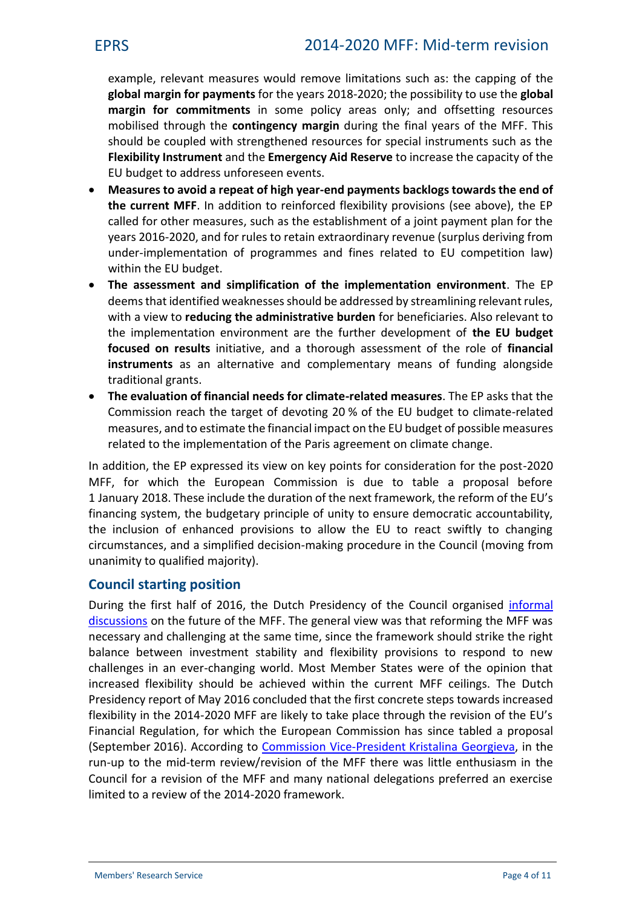example, relevant measures would remove limitations such as: the capping of the **global margin for payments** for the years 2018-2020; the possibility to use the **global margin for commitments** in some policy areas only; and offsetting resources mobilised through the **contingency margin** during the final years of the MFF. This should be coupled with strengthened resources for special instruments such as the **Flexibility Instrument** and the **Emergency Aid Reserve** to increase the capacity of the EU budget to address unforeseen events.

- **Measures to avoid a repeat of high year-end payments backlogs towardsthe end of the current MFF**. In addition to reinforced flexibility provisions (see above), the EP called for other measures, such as the establishment of a joint payment plan for the years 2016-2020, and for rules to retain extraordinary revenue (surplus deriving from under-implementation of programmes and fines related to EU competition law) within the EU budget.
- **The assessment and simplification of the implementation environment**. The EP deems that identified weaknesses should be addressed by streamlining relevant rules, with a view to **reducing the administrative burden** for beneficiaries. Also relevant to the implementation environment are the further development of **the EU budget focused on results** initiative, and a thorough assessment of the role of **financial instruments** as an alternative and complementary means of funding alongside traditional grants.
- **The evaluation of financial needs for climate-related measures**. The EP asks that the Commission reach the target of devoting 20 % of the EU budget to climate-related measures, and to estimate the financial impact on the EU budget of possible measures related to the implementation of the Paris agreement on climate change.

In addition, the EP expressed its view on key points for consideration for the post-2020 MFF, for which the European Commission is due to table a proposal before 1 January 2018. These include the duration of the next framework, the reform of the EU's financing system, the budgetary principle of unity to ensure democratic accountability, the inclusion of enhanced provisions to allow the EU to react swiftly to changing circumstances, and a simplified decision-making procedure in the Council (moving from unanimity to qualified majority).

## **Council starting position**

During the first half of 2016, the Dutch Presidency of the Council organised [informal](https://www.rijksoverheid.nl/binaries/rijksoverheid/documenten/kamerstukken/2016/05/30/voorzitterschapsverslag-over-mfk/voorzitterschapsverslag-over-mfk.pdf) [discussions](https://www.rijksoverheid.nl/binaries/rijksoverheid/documenten/kamerstukken/2016/05/30/voorzitterschapsverslag-over-mfk/voorzitterschapsverslag-over-mfk.pdf) on the future of the MFF. The general view was that reforming the MFF was necessary and challenging at the same time, since the framework should strike the right balance between investment stability and flexibility provisions to respond to new challenges in an ever-changing world. Most Member States were of the opinion that increased flexibility should be achieved within the current MFF ceilings. The Dutch Presidency report of May 2016 concluded that the first concrete steps towards increased flexibility in the 2014-2020 MFF are likely to take place through the revision of the EU's Financial Regulation, for which the European Commission has since tabled a proposal (September 2016). According to [Commission Vice-President](http://www.europarl.europa.eu/ep-live/en/committees/video?event=20160914-1500-COMMITTEE-BUDG) Kristalina Georgieva, in the run-up to the mid-term review/revision of the MFF there was little enthusiasm in the Council for a revision of the MFF and many national delegations preferred an exercise limited to a review of the 2014-2020 framework.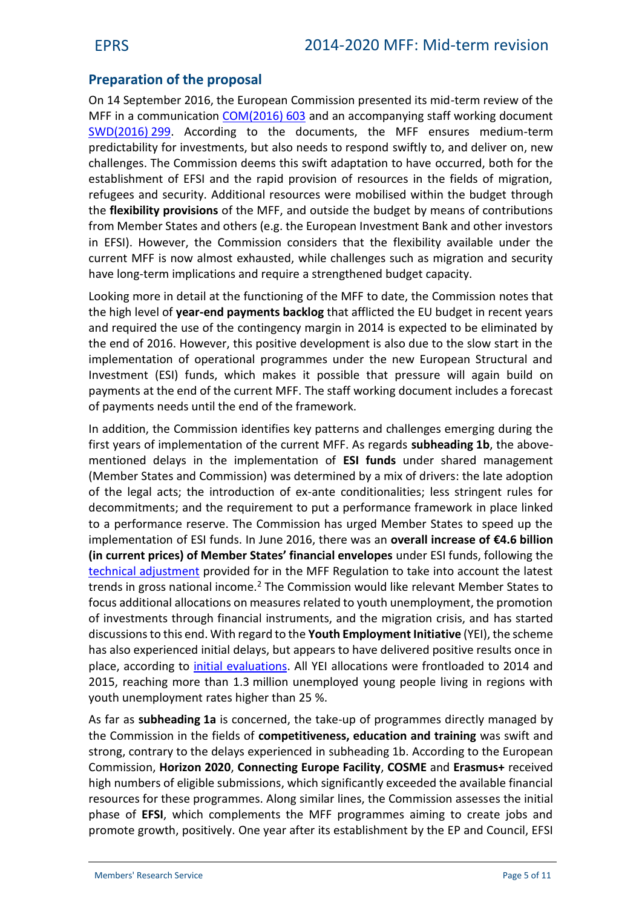# **Preparation of the proposal**

On 14 September 2016, the European Commission presented its mid-term review of the MFF in a communication [COM\(2016\)](http://eur-lex.europa.eu/legal-content/EN/TXT/?qid=1479123915941&uri=CELEX:52016DC0603) 603 and an accompanying staff working document [SWD\(2016\)](http://eur-lex.europa.eu/legal-content/EN/TXT/?qid=1479123970965&uri=CELEX:52016SC0299) 299. According to the documents, the MFF ensures medium-term predictability for investments, but also needs to respond swiftly to, and deliver on, new challenges. The Commission deems this swift adaptation to have occurred, both for the establishment of EFSI and the rapid provision of resources in the fields of migration, refugees and security. Additional resources were mobilised within the budget through the **flexibility provisions** of the MFF, and outside the budget by means of contributions from Member States and others (e.g. the European Investment Bank and other investors in EFSI). However, the Commission considers that the flexibility available under the current MFF is now almost exhausted, while challenges such as migration and security have long-term implications and require a strengthened budget capacity.

Looking more in detail at the functioning of the MFF to date, the Commission notes that the high level of **year-end payments backlog** that afflicted the EU budget in recent years and required the use of the contingency margin in 2014 is expected to be eliminated by the end of 2016. However, this positive development is also due to the slow start in the implementation of operational programmes under the new European Structural and Investment (ESI) funds, which makes it possible that pressure will again build on payments at the end of the current MFF. The staff working document includes a forecast of payments needs until the end of the framework.

In addition, the Commission identifies key patterns and challenges emerging during the first years of implementation of the current MFF. As regards **subheading 1b**, the above mentioned delays in the implementation of **ESI funds** under shared management (Member States and Commission) was determined by a mix of drivers: the late adoption of the legal acts; the introduction of ex-ante conditionalities; less stringent rules for decommitments; and the requirement to put a performance framework in place linked to a performance reserve. The Commission has urged Member States to speed up the implementation of ESI funds. In June 2016, there was an **overall increase of €4.6 billion (in current prices) of Member States' financial envelopes** under ESI funds, following the [technical adjustment](http://eur-lex.europa.eu/legal-content/EN/TXT/?qid=1479145140256&uri=CELEX:52016DC0311) provided for in the MFF Regulation to take into account the latest trends in gross national income.<sup>2</sup> The Commission would like relevant Member States to focus additional allocations on measures related to youth unemployment, the promotion of investments through financial instruments, and the migration crisis, and has started discussionsto this end. With regard to the **Youth Employment Initiative** (YEI), the scheme has also experienced initial delays, but appears to have delivered positive results once in place, according to initial [evaluations.](http://ec.europa.eu/social/main.jsp?catId=738&langId=en&pubId=7931) All YEI allocations were frontloaded to 2014 and 2015, reaching more than 1.3 million unemployed young people living in regions with youth unemployment rates higher than 25 %.

As far as **subheading 1a** is concerned, the take-up of programmes directly managed by the Commission in the fields of **competitiveness, education and training** was swift and strong, contrary to the delays experienced in subheading 1b. According to the European Commission, **Horizon 2020**, **Connecting Europe Facility**, **COSME** and **Erasmus+** received high numbers of eligible submissions, which significantly exceeded the available financial resources for these programmes. Along similar lines, the Commission assesses the initial phase of **EFSI**, which complements the MFF programmes aiming to create jobs and promote growth, positively. One year after its establishment by the EP and Council, EFSI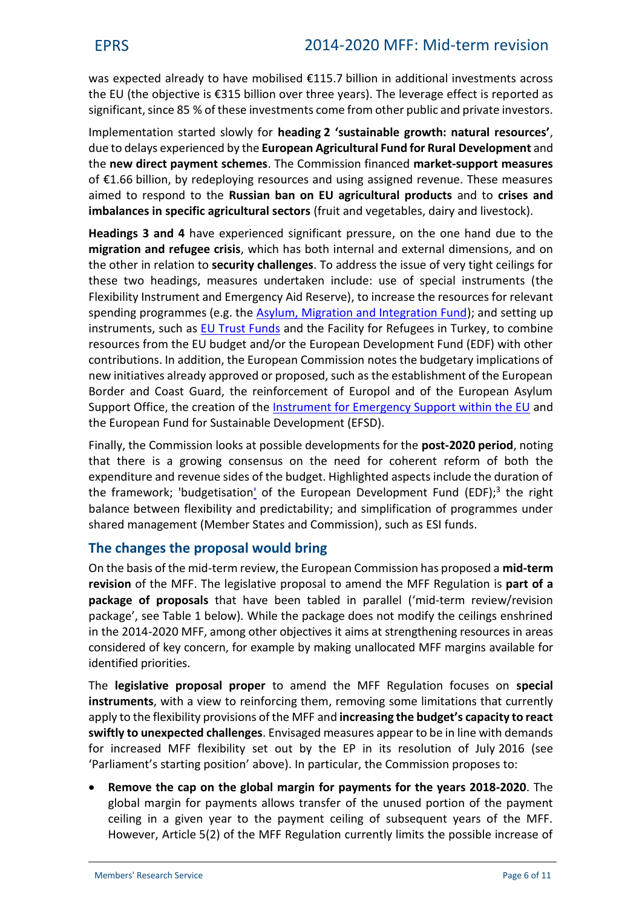was expected already to have mobilised €115.7 billion in additional investments across the EU (the objective is €315 billion over three years). The leverage effect is reported as significant, since 85 % of these investments come from other public and private investors.

Implementation started slowly for **heading 2 'sustainable growth: natural resources'**, due to delays experienced by the **European Agricultural Fund for Rural Development** and the **new direct payment schemes**. The Commission financed **market-support measures** of €1.66 billion, by redeploying resources and using assigned revenue. These measures aimed to respond to the **Russian ban on EU agricultural products** and to **crises and imbalances in specific agricultural sectors** (fruit and vegetables, dairy and livestock).

**Headings 3 and 4** have experienced significant pressure, on the one hand due to the **migration and refugee crisis**, which has both internal and external dimensions, and on the other in relation to **security challenges**. To address the issue of very tight ceilings for these two headings, measures undertaken include: use of special instruments (the Flexibility Instrument and Emergency Aid Reserve), to increase the resources for relevant spending programmes (e.g. the [Asylum, Migration and Integration Fund\)](http://www.europarl.europa.eu/RegData/etudes/BRIE/2015/551316/EPRS_BRI(2015)551316_EN.pdf); and setting up instruments, such as [EU Trust Funds](http://www.europarl.europa.eu/RegData/etudes/BRIE/2015/572797/EPRS_BRI(2015)572797_EN.pdf) and the Facility for Refugees in Turkey, to combine resources from the EU budget and/or the European Development Fund (EDF) with other contributions. In addition, the European Commission notes the budgetary implications of new initiatives already approved or proposed, such as the establishment of the European Border and Coast Guard, the reinforcement of Europol and of the European Asylum Support Office, the creation of the [Instrument for Emergency Support within the EU](http://www.europarl.europa.eu/RegData/etudes/ATAG/2016/580896/EPRS_ATA(2016)580896_EN.pdf) and the European Fund for Sustainable Development (EFSD).

Finally, the Commission looks at possible developments for the **post-2020 period**, noting that there is a growing consensus on the need for coherent reform of both the expenditure and revenue sides of the budget. Highlighted aspects include the duration of the framework; 'budgetisation' of the European Development Fund (EDF);<sup>3</sup> the right balance between flexibility and predictability; and simplification of programmes under shared management (Member States and Commission), such as ESI funds.

## **The changes the proposal would bring**

On the basis of the mid-term review, the European Commission has proposed a **mid-term revision** of the MFF. The legislative proposal to amend the MFF Regulation is **part of a package of proposals** that have been tabled in parallel ('mid-term review/revision package', see Table 1 below). While the package does not modify the ceilings enshrined in the 2014-2020 MFF, among other objectives it aims at strengthening resources in areas considered of key concern, for example by making unallocated MFF margins available for identified priorities.

The **legislative proposal proper** to amend the MFF Regulation focuses on **special instruments**, with a view to reinforcing them, removing some limitations that currently apply to the flexibility provisions of the MFF and **increasing the budget's capacity to react swiftly to unexpected challenges**. Envisaged measures appear to be in line with demands for increased MFF flexibility set out by the EP in its resolution of July 2016 (see 'Parliament's starting position' above). In particular, the Commission proposes to:

 **Remove the cap on the global margin for payments for the years 2018-2020**. The global margin for payments allows transfer of the unused portion of the payment ceiling in a given year to the payment ceiling of subsequent years of the MFF. However, Article 5(2) of the MFF Regulation currently limits the possible increase of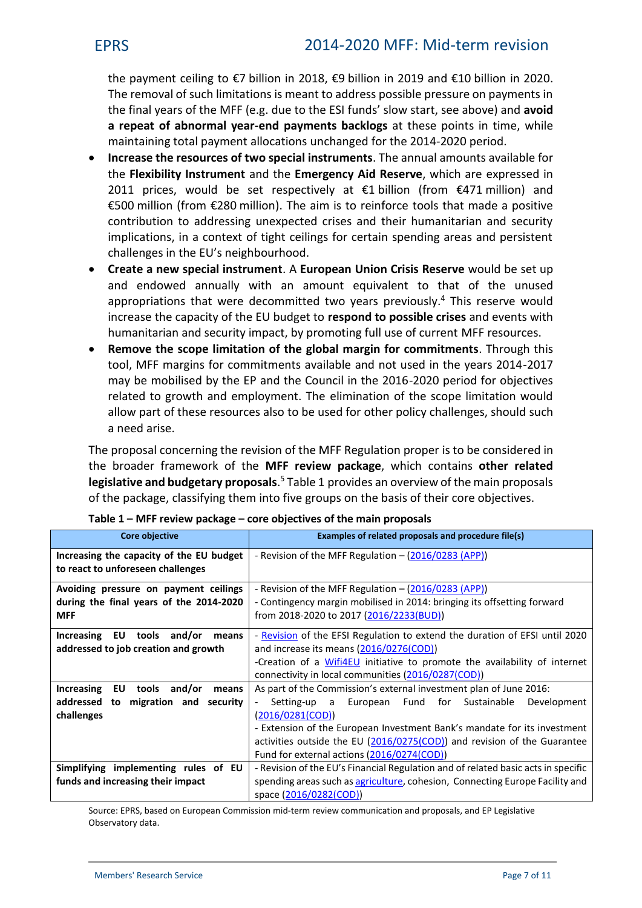the payment ceiling to €7 billion in 2018, €9 billion in 2019 and €10 billion in 2020. The removal of such limitations is meant to address possible pressure on payments in the final years of the MFF (e.g. due to the ESI funds' slow start, see above) and **avoid a repeat of abnormal year-end payments backlogs** at these points in time, while maintaining total payment allocations unchanged for the 2014-2020 period.

- **Increase the resources of two special instruments**. The annual amounts available for the **Flexibility Instrument** and the **Emergency Aid Reserve**, which are expressed in 2011 prices, would be set respectively at  $\epsilon$ 1 billion (from  $\epsilon$ 471 million) and €500 million (from €280 million). The aim is to reinforce tools that made a positive contribution to addressing unexpected crises and their humanitarian and security implications, in a context of tight ceilings for certain spending areas and persistent challenges in the EU's neighbourhood.
- **Create a new special instrument**. A **European Union Crisis Reserve** would be set up and endowed annually with an amount equivalent to that of the unused appropriations that were decommitted two years previously.<sup>4</sup> This reserve would increase the capacity of the EU budget to **respond to possible crises** and events with humanitarian and security impact, by promoting full use of current MFF resources.
- **Remove the scope limitation of the global margin for commitments**. Through this tool, MFF margins for commitments available and not used in the years 2014-2017 may be mobilised by the EP and the Council in the 2016-2020 period for objectives related to growth and employment. The elimination of the scope limitation would allow part of these resources also to be used for other policy challenges, should such a need arise.

The proposal concerning the revision of the MFF Regulation proper is to be considered in the broader framework of the **MFF review package**, which contains **other related legislative and budgetary proposals**.<sup>5</sup> Table 1 provides an overview of the main proposals of the package, classifying them into five groups on the basis of their core objectives.

| <b>Core objective</b>                                                                          | Examples of related proposals and procedure file(s)                                                                                                                                                                                                                                                                                                       |  |
|------------------------------------------------------------------------------------------------|-----------------------------------------------------------------------------------------------------------------------------------------------------------------------------------------------------------------------------------------------------------------------------------------------------------------------------------------------------------|--|
| Increasing the capacity of the EU budget<br>to react to unforeseen challenges                  | - Revision of the MFF Regulation $ (2016/0283$ (APP))                                                                                                                                                                                                                                                                                                     |  |
| Avoiding pressure on payment ceilings<br>during the final years of the 2014-2020<br><b>MFF</b> | - Revision of the MFF Regulation – (2016/0283 (APP))<br>- Contingency margin mobilised in 2014: bringing its offsetting forward<br>from 2018-2020 to 2017 (2016/2233(BUD))                                                                                                                                                                                |  |
| Increasing EU tools and/or<br>means<br>addressed to job creation and growth                    | - Revision of the EFSI Regulation to extend the duration of EFSI until 2020<br>and increase its means (2016/0276(COD))<br>-Creation of a Wifi4EU initiative to promote the availability of internet<br>connectivity in local communities (2016/0287(COD))                                                                                                 |  |
| Increasing EU tools<br>and/or<br>means<br>addressed to migration and security<br>challenges    | As part of the Commission's external investment plan of June 2016:<br>Setting-up a European Fund for Sustainable<br>Development<br>(2016/0281(COD))<br>- Extension of the European Investment Bank's mandate for its investment<br>activities outside the EU (2016/0275(COD)) and revision of the Guarantee<br>Fund for external actions (2016/0274(COD)) |  |
| Simplifying implementing rules of EU<br>funds and increasing their impact                      | - Revision of the EU's Financial Regulation and of related basic acts in specific<br>spending areas such as agriculture, cohesion, Connecting Europe Facility and<br>space (2016/0282(COD))                                                                                                                                                               |  |

| Table 1 – MFF review package – core objectives of the main proposals |  |
|----------------------------------------------------------------------|--|
|----------------------------------------------------------------------|--|

Source: EPRS, based on European Commission mid-term review communication and proposals, and EP Legislative Observatory data.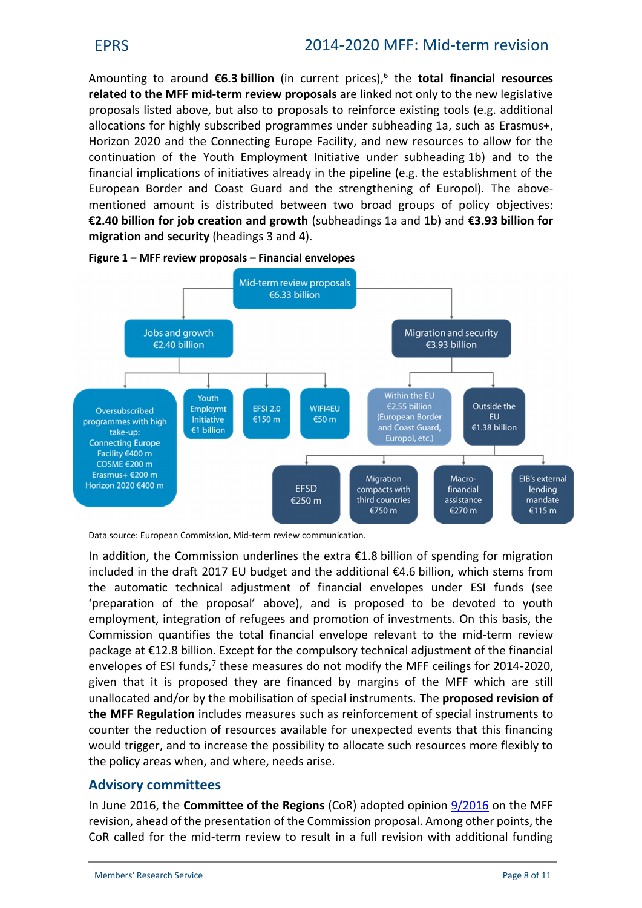Amounting to around **€6.3 billion** (in current prices),<sup>6</sup> the **total financial resources related to the MFF mid-term review proposals** are linked not only to the new legislative proposals listed above, but also to proposals to reinforce existing tools (e.g. additional allocations for highly subscribed programmes under subheading 1a, such as Erasmus+, Horizon 2020 and the Connecting Europe Facility, and new resources to allow for the continuation of the Youth Employment Initiative under subheading 1b) and to the financial implications of initiatives already in the pipeline (e.g. the establishment of the European Border and Coast Guard and the strengthening of Europol). The above mentioned amount is distributed between two broad groups of policy objectives: **€2.40 billion for job creation and growth** (subheadings 1a and 1b) and **€3.93 billion for migration and security** (headings 3 and 4).





Data source: European Commission, Mid-term review communication.

In addition, the Commission underlines the extra €1.8 billion of spending for migration included in the draft 2017 EU budget and the additional €4.6 billion, which stems from the automatic technical adjustment of financial envelopes under ESI funds (see 'preparation of the proposal' above), and is proposed to be devoted to youth employment, integration of refugees and promotion of investments. On this basis, the Commission quantifies the total financial envelope relevant to the mid-term review package at €12.8 billion. Except for the compulsory technical adjustment of the financial envelopes of ESI funds,<sup>7</sup> these measures do not modify the MFF ceilings for 2014-2020, given that it is proposed they are financed by margins of the MFF which are still unallocated and/or by the mobilisation of special instruments. The **proposed revision of the MFF Regulation** includes measures such as reinforcement of special instruments to counter the reduction of resources available for unexpected events that this financing would trigger, and to increase the possibility to allocate such resources more flexibly to the policy areas when, and where, needs arise.

## **Advisory committees**

In June 2016, the **Committee of the Regions** (CoR) adopted opinion [9/2016](http://cor.europa.eu/en/activities/opinions/pages/opinion-factsheet.aspx?OpinionNumber=CDR%209/2016) on the MFF revision, ahead of the presentation of the Commission proposal. Among other points, the CoR called for the mid-term review to result in a full revision with additional funding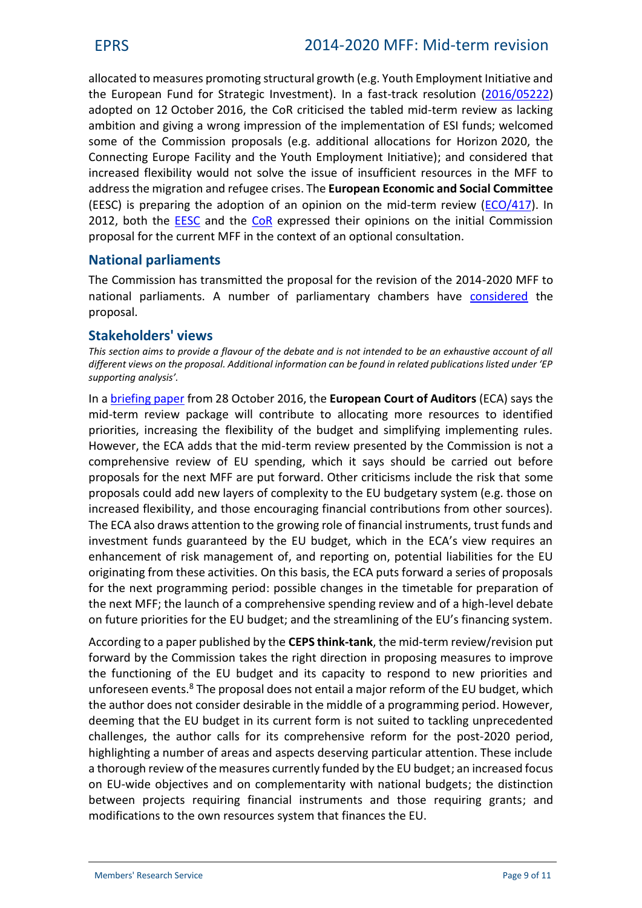allocated to measures promoting structural growth (e.g. Youth Employment Initiative and the European Fund for Strategic Investment). In a fast-track resolution ([2016/05222\)](http://webapi.cor.europa.eu/documentsanonymous/cor-2016-05222-00-00-res-tra-en.docx) adopted on 12 October 2016, the CoR criticised the tabled mid-term review as lacking ambition and giving a wrong impression of the implementation of ESI funds; welcomed some of the Commission proposals (e.g. additional allocations for Horizon 2020, the Connecting Europe Facility and the Youth Employment Initiative); and considered that increased flexibility would not solve the issue of insufficient resources in the MFF to addressthe migration and refugee crises. The **European Economic and Social Committee** (EESC) is preparing the adoption of an opinion on the mid-term review ([ECO/417\)](http://www.eesc.europa.eu/?i=portal.en.eco-opinions.40455). In 2012, both the [EESC](http://eur-lex.europa.eu/legal-content/EN/TXT/?uri=celex:52012AE1299) and the [CoR](http://eur-lex.europa.eu/legal-content/EN/TXT/?uri=celex:52012AR1777) expressed their opinions on the initial Commission proposal for the current MFF in the context of an optional consultation.

## **National parliaments**

The Commission has transmitted the proposal for the revision of the 2014-2020 MFF to national parliaments. A number of parliamentary chambers have [considered](http://www.ipex.eu/IPEXL-WEB/dossier/document/COM20160604.do) the proposal.

## **Stakeholders' views**

*This section aims to provide a flavour of the debate and is not intended to be an exhaustive account of all different views on the proposal. Additional information can be found in related publications listed under 'EP supporting analysis'.*

In a [briefing paper](http://www.eca.europa.eu/Lists/News/NEWS1611_03/Briefing_paper_MFF_2014-2020-en.pdf) from 28 October 2016, the **European Court of Auditors** (ECA) says the mid-term review package will contribute to allocating more resources to identified priorities, increasing the flexibility of the budget and simplifying implementing rules. However, the ECA adds that the mid-term review presented by the Commission is not a comprehensive review of EU spending, which it says should be carried out before proposals for the next MFF are put forward. Other criticisms include the risk that some proposals could add new layers of complexity to the EU budgetary system (e.g. those on increased flexibility, and those encouraging financial contributions from other sources). The ECA also draws attention to the growing role of financial instruments, trust funds and investment funds guaranteed by the EU budget, which in the ECA's view requires an enhancement of risk management of, and reporting on, potential liabilities for the EU originating from these activities. On this basis, the ECA puts forward a series of proposals for the next programming period: possible changes in the timetable for preparation of the next MFF; the launch of a comprehensive spending review and of a high-level debate on future priorities for the EU budget; and the streamlining of the EU's financing system.

According to a paper published by the **CEPS think-tank**, the mid-term review/revision put forward by the Commission takes the right direction in proposing measures to improve the functioning of the EU budget and its capacity to respond to new priorities and unforeseen events.<sup>8</sup> The proposal does not entail a major reform of the EU budget, which the author does not consider desirable in the middle of a programming period. However, deeming that the EU budget in its current form is not suited to tackling unprecedented challenges, the author calls for its comprehensive reform for the post-2020 period, highlighting a number of areas and aspects deserving particular attention. These include a thorough review of the measures currently funded by the EU budget; an increased focus on EU-wide objectives and on complementarity with national budgets; the distinction between projects requiring financial instruments and those requiring grants; and modifications to the own resources system that finances the EU.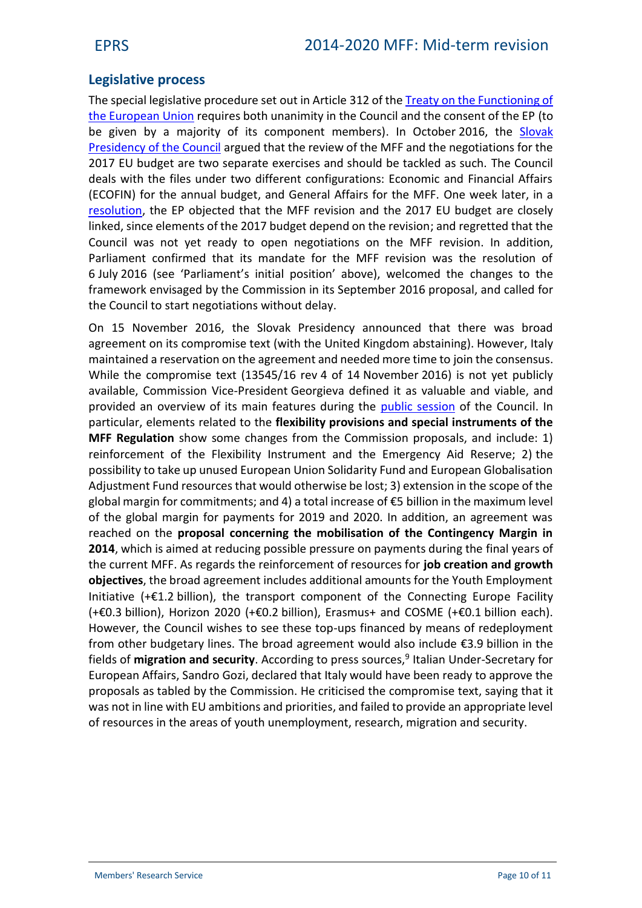# **Legislative process**

The special legislative procedure set out in Article 312 of the [Treaty on the Functioning of](http://eur-lex.europa.eu/legal-content/EN/TXT/?uri=uriserv:OJ.C_.2010.083.01.0001.01.ENG&toc=OJ:C:2010:083:TOC) [the European Union](http://eur-lex.europa.eu/legal-content/EN/TXT/?uri=uriserv:OJ.C_.2010.083.01.0001.01.ENG&toc=OJ:C:2010:083:TOC) requires both unanimity in the Council and the consent of the EP (to be given by a majority of its component members). In October 2016, the [Slovak](http://www.consilium.europa.eu/en/press/press-releases/2016/10/19-eu-budget-2017/) [Presidency of the Council](http://www.consilium.europa.eu/en/press/press-releases/2016/10/19-eu-budget-2017/) argued that the review of the MFF and the negotiations for the 2017 EU budget are two separate exercises and should be tackled as such. The Council deals with the files under two different configurations: Economic and Financial Affairs (ECOFIN) for the annual budget, and General Affairs for the MFF. One week later, in a [resolution,](http://www.europarl.europa.eu/oeil/popups/ficheprocedure.do?lang=en&reference=2016/2931(RSP)) the EP objected that the MFF revision and the 2017 EU budget are closely linked, since elements of the 2017 budget depend on the revision; and regretted that the Council was not yet ready to open negotiations on the MFF revision. In addition, Parliament confirmed that its mandate for the MFF revision was the resolution of 6 July 2016 (see 'Parliament's initial position' above), welcomed the changes to the framework envisaged by the Commission in its September 2016 proposal, and called for the Council to start negotiations without delay.

On 15 November 2016, the Slovak Presidency announced that there was broad agreement on its compromise text (with the United Kingdom abstaining). However, Italy maintained a reservation on the agreement and needed more time to join the consensus. While the compromise text (13545/16 rev 4 of 14 November 2016) is not yet publicly available, Commission Vice-President Georgieva defined it as valuable and viable, and provided an overview of its main features during the [public session](http://video.consilium.europa.eu/en/webcast/235f36f4-7769-4058-8b6f-7ccd82f19920) of the Council. In particular, elements related to the **flexibility provisions and special instruments of the MFF Regulation** show some changes from the Commission proposals, and include: 1) reinforcement of the Flexibility Instrument and the Emergency Aid Reserve; 2) the possibility to take up unused European Union Solidarity Fund and European Globalisation Adjustment Fund resources that would otherwise be lost; 3) extension in the scope of the global margin for commitments; and 4) a total increase of €5 billion in the maximum level of the global margin for payments for 2019 and 2020. In addition, an agreement was reached on the **proposal concerning the mobilisation of the Contingency Margin in 2014**, which is aimed at reducing possible pressure on payments during the final years of the current MFF. As regards the reinforcement of resources for **job creation and growth objectives**, the broad agreement includes additional amounts for the Youth Employment Initiative  $(+\epsilon 1.2)$  billion), the transport component of the Connecting Europe Facility (+€0.3 billion), Horizon 2020 (+€0.2 billion), Erasmus+ and COSME (+€0.1 billion each). However, the Council wishes to see these top-ups financed by means of redeployment from other budgetary lines. The broad agreement would also include €3.9 billion in the fields of migration and security. According to press sources,<sup>9</sup> Italian Under-Secretary for European Affairs, Sandro Gozi, declared that Italy would have been ready to approve the proposals as tabled by the Commission. He criticised the compromise text, saying that it was not in line with EU ambitions and priorities, and failed to provide an appropriate level of resources in the areas of youth unemployment, research, migration and security.